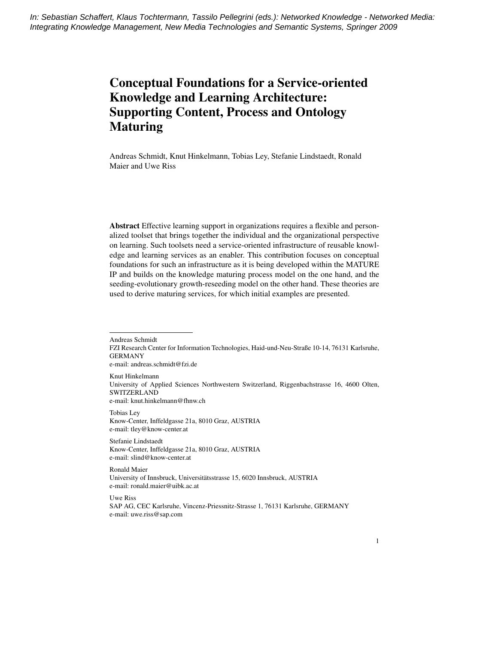# Conceptual Foundations for a Service-oriented Knowledge and Learning Architecture: Supporting Content, Process and Ontology Maturing

Andreas Schmidt, Knut Hinkelmann, Tobias Ley, Stefanie Lindstaedt, Ronald Maier and Uwe Riss

Abstract Effective learning support in organizations requires a flexible and personalized toolset that brings together the individual and the organizational perspective on learning. Such toolsets need a service-oriented infrastructure of reusable knowledge and learning services as an enabler. This contribution focuses on conceptual foundations for such an infrastructure as it is being developed within the MATURE IP and builds on the knowledge maturing process model on the one hand, and the seeding-evolutionary growth-reseeding model on the other hand. These theories are used to derive maturing services, for which initial examples are presented.

Andreas Schmidt FZI Research Center for Information Technologies, Haid-und-Neu-Straße 10-14, 76131 Karlsruhe, GERMANY e-mail: andreas.schmidt@fzi.de

Knut Hinkelmann University of Applied Sciences Northwestern Switzerland, Riggenbachstrasse 16, 4600 Olten, SWITZERLAND

e-mail: knut.hinkelmann@fhnw.ch

Tobias Ley Know-Center, Inffeldgasse 21a, 8010 Graz, AUSTRIA e-mail: tley@know-center.at

Stefanie Lindstaedt Know-Center, Inffeldgasse 21a, 8010 Graz, AUSTRIA e-mail: slind@know-center.at

Ronald Maier University of Innsbruck, Universitatsstrasse 15, 6020 Innsbruck, AUSTRIA ¨ e-mail: ronald.maier@uibk.ac.at

Uwe Riss

SAP AG, CEC Karlsruhe, Vincenz-Priessnitz-Strasse 1, 76131 Karlsruhe, GERMANY e-mail: uwe.riss@sap.com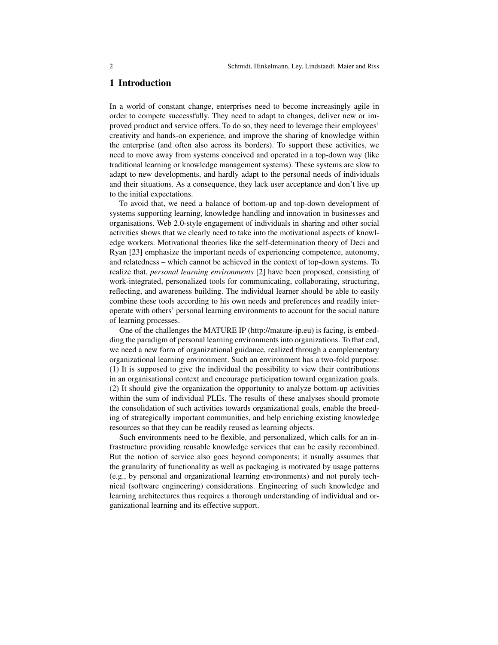### 1 Introduction

In a world of constant change, enterprises need to become increasingly agile in order to compete successfully. They need to adapt to changes, deliver new or improved product and service offers. To do so, they need to leverage their employees' creativity and hands-on experience, and improve the sharing of knowledge within the enterprise (and often also across its borders). To support these activities, we need to move away from systems conceived and operated in a top-down way (like traditional learning or knowledge management systems). These systems are slow to adapt to new developments, and hardly adapt to the personal needs of individuals and their situations. As a consequence, they lack user acceptance and don't live up to the initial expectations.

To avoid that, we need a balance of bottom-up and top-down development of systems supporting learning, knowledge handling and innovation in businesses and organisations. Web 2.0-style engagement of individuals in sharing and other social activities shows that we clearly need to take into the motivational aspects of knowledge workers. Motivational theories like the self-determination theory of Deci and Ryan [23] emphasize the important needs of experiencing competence, autonomy, and relatedness – which cannot be achieved in the context of top-down systems. To realize that, *personal learning environments* [2] have been proposed, consisting of work-integrated, personalized tools for communicating, collaborating, structuring, reflecting, and awareness building. The individual learner should be able to easily combine these tools according to his own needs and preferences and readily interoperate with others' personal learning environments to account for the social nature of learning processes.

One of the challenges the MATURE IP (http://mature-ip.eu) is facing, is embedding the paradigm of personal learning environments into organizations. To that end, we need a new form of organizational guidance, realized through a complementary organizational learning environment. Such an environment has a two-fold purpose: (1) It is supposed to give the individual the possibility to view their contributions in an organisational context and encourage participation toward organization goals. (2) It should give the organization the opportunity to analyze bottom-up activities within the sum of individual PLEs. The results of these analyses should promote the consolidation of such activities towards organizational goals, enable the breeding of strategically important communities, and help enriching existing knowledge resources so that they can be readily reused as learning objects.

Such environments need to be flexible, and personalized, which calls for an infrastructure providing reusable knowledge services that can be easily recombined. But the notion of service also goes beyond components; it usually assumes that the granularity of functionality as well as packaging is motivated by usage patterns (e.g., by personal and organizational learning environments) and not purely technical (software engineering) considerations. Engineering of such knowledge and learning architectures thus requires a thorough understanding of individual and organizational learning and its effective support.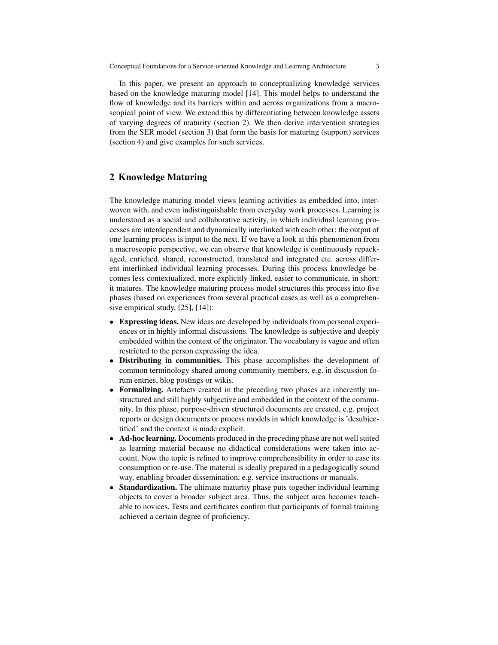In this paper, we present an approach to conceptualizing knowledge services based on the knowledge maturing model [14]. This model helps to understand the flow of knowledge and its barriers within and across organizations from a macroscopical point of view. We extend this by differentiating between knowledge assets of varying degrees of maturity (section 2). We then derive intervention strategies from the SER model (section 3) that form the basis for maturing (support) services (section 4) and give examples for such services.

## 2 Knowledge Maturing

The knowledge maturing model views learning activities as embedded into, interwoven with, and even indistinguishable from everyday work processes. Learning is understood as a social and collaborative activity, in which individual learning processes are interdependent and dynamically interlinked with each other: the output of one learning process is input to the next. If we have a look at this phenomenon from a macroscopic perspective, we can observe that knowledge is continuously repackaged, enriched, shared, reconstructed, translated and integrated etc. across different interlinked individual learning processes. During this process knowledge becomes less contextualized, more explicitly linked, easier to communicate, in short: it matures. The knowledge maturing process model structures this process into five phases (based on experiences from several practical cases as well as a comprehensive empirical study, [25], [14]):

- Expressing ideas. New ideas are developed by individuals from personal experiences or in highly informal discussions. The knowledge is subjective and deeply embedded within the context of the originator. The vocabulary is vague and often restricted to the person expressing the idea.
- Distributing in communities. This phase accomplishes the development of common terminology shared among community members, e.g. in discussion forum entries, blog postings or wikis.
- Formalizing. Artefacts created in the preceding two phases are inherently unstructured and still highly subjective and embedded in the context of the community. In this phase, purpose-driven structured documents are created, e.g. project reports or design documents or process models in which knowledge is 'desubjectified' and the context is made explicit.
- Ad-hoc learning. Documents produced in the preceding phase are not well suited as learning material because no didactical considerations were taken into account. Now the topic is refined to improve comprehensibility in order to ease its consumption or re-use. The material is ideally prepared in a pedagogically sound way, enabling broader dissemination, e.g. service instructions or manuals.
- Standardization. The ultimate maturity phase puts together individual learning objects to cover a broader subject area. Thus, the subject area becomes teachable to novices. Tests and certificates confirm that participants of formal training achieved a certain degree of proficiency.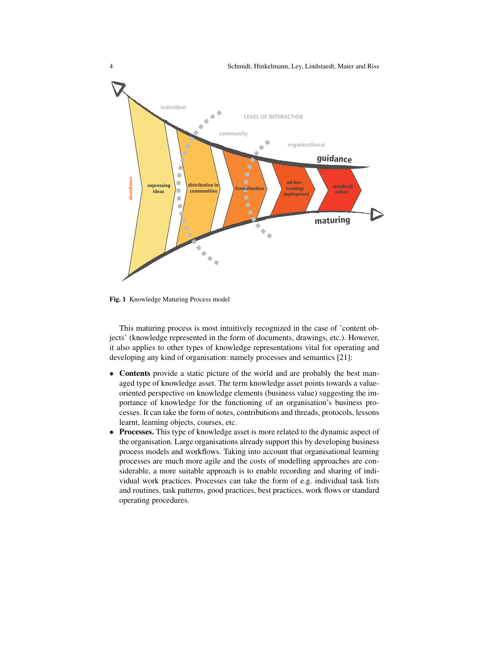

Fig. 1 Knowledge Maturing Process model

This maturing process is most intuitively recognized in the case of 'content objects' (knowledge represented in the form of documents, drawings, etc.). However, it also applies to other types of knowledge representations vital for operating and developing any kind of organisation: namely processes and semantics [21]:

- Contents provide a static picture of the world and are probably the best managed type of knowledge asset. The term knowledge asset points towards a valueoriented perspective on knowledge elements (business value) suggesting the importance of knowledge for the functioning of an organisation's business processes. It can take the form of notes, contributions and threads, protocols, lessons learnt, learning objects, courses, etc.
- Processes. This type of knowledge asset is more related to the dynamic aspect of the organisation. Large organisations already support this by developing business process models and workflows. Taking into account that organisational learning processes are much more agile and the costs of modelling approaches are considerable, a more suitable approach is to enable recording and sharing of individual work practices. Processes can take the form of e.g. individual task lists and routines, task patterns, good practices, best practices, work flows or standard operating procedures.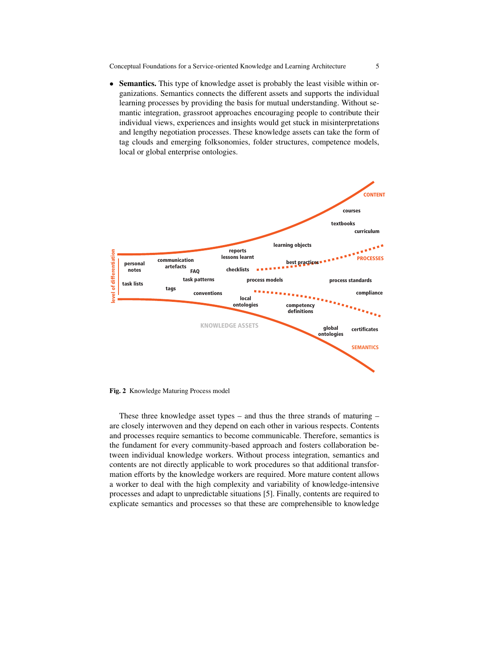Conceptual Foundations for a Service-oriented Knowledge and Learning Architecture 5

• **Semantics.** This type of knowledge asset is probably the least visible within organizations. Semantics connects the different assets and supports the individual learning processes by providing the basis for mutual understanding. Without semantic integration, grassroot approaches encouraging people to contribute their individual views, experiences and insights would get stuck in misinterpretations and lengthy negotiation processes. These knowledge assets can take the form of tag clouds and emerging folksonomies, folder structures, competence models, local or global enterprise ontologies.



Fig. 2 Knowledge Maturing Process model

These three knowledge asset types – and thus the three strands of maturing – are closely interwoven and they depend on each other in various respects. Contents and processes require semantics to become communicable. Therefore, semantics is the fundament for every community-based approach and fosters collaboration between individual knowledge workers. Without process integration, semantics and contents are not directly applicable to work procedures so that additional transformation efforts by the knowledge workers are required. More mature content allows a worker to deal with the high complexity and variability of knowledge-intensive processes and adapt to unpredictable situations [5]. Finally, contents are required to explicate semantics and processes so that these are comprehensible to knowledge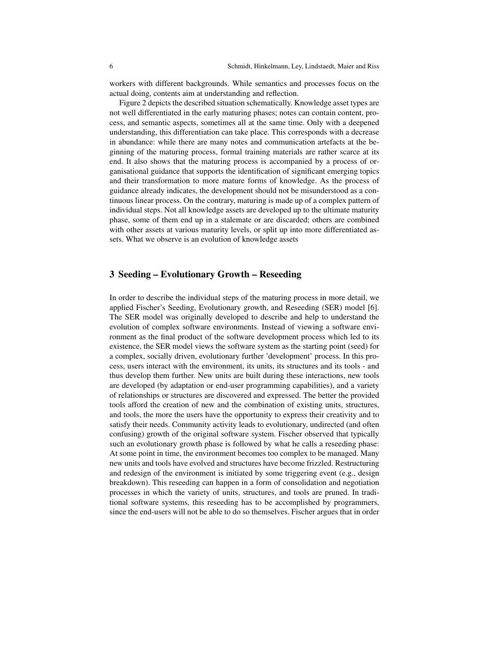workers with different backgrounds. While semantics and processes focus on the actual doing, contents aim at understanding and reflection.

Figure 2 depicts the described situation schematically. Knowledge asset types are not well differentiated in the early maturing phases; notes can contain content, process, and semantic aspects, sometimes all at the same time. Only with a deepened understanding, this differentiation can take place. This corresponds with a decrease in abundance: while there are many notes and communication artefacts at the beginning of the maturing process, formal training materials are rather scarce at its end. It also shows that the maturing process is accompanied by a process of organisational guidance that supports the identification of significant emerging topics and their transformation to more mature forms of knowledge. As the process of guidance already indicates, the development should not be misunderstood as a continuous linear process. On the contrary, maturing is made up of a complex pattern of individual steps. Not all knowledge assets are developed up to the ultimate maturity phase, some of them end up in a stalemate or are discarded; others are combined with other assets at various maturity levels, or split up into more differentiated assets. What we observe is an evolution of knowledge assets

### 3 Seeding – Evolutionary Growth – Reseeding

In order to describe the individual steps of the maturing process in more detail, we applied Fischer's Seeding, Evolutionary growth, and Reseeding (SER) model [6]. The SER model was originally developed to describe and help to understand the evolution of complex software environments. Instead of viewing a software environment as the final product of the software development process which led to its existence, the SER model views the software system as the starting point (seed) for a complex, socially driven, evolutionary further 'development' process. In this process, users interact with the environment, its units, its structures and its tools - and thus develop them further. New units are built during these interactions, new tools are developed (by adaptation or end-user programming capabilities), and a variety of relationships or structures are discovered and expressed. The better the provided tools afford the creation of new and the combination of existing units, structures, and tools, the more the users have the opportunity to express their creativity and to satisfy their needs. Community activity leads to evolutionary, undirected (and often confusing) growth of the original software system. Fischer observed that typically such an evolutionary growth phase is followed by what he calls a reseeding phase: At some point in time, the environment becomes too complex to be managed. Many new units and tools have evolved and structures have become frizzled. Restructuring and redesign of the environment is initiated by some triggering event (e.g., design breakdown). This reseeding can happen in a form of consolidation and negotiation processes in which the variety of units, structures, and tools are pruned. In traditional software systems, this reseeding has to be accomplished by programmers, since the end-users will not be able to do so themselves. Fischer argues that in order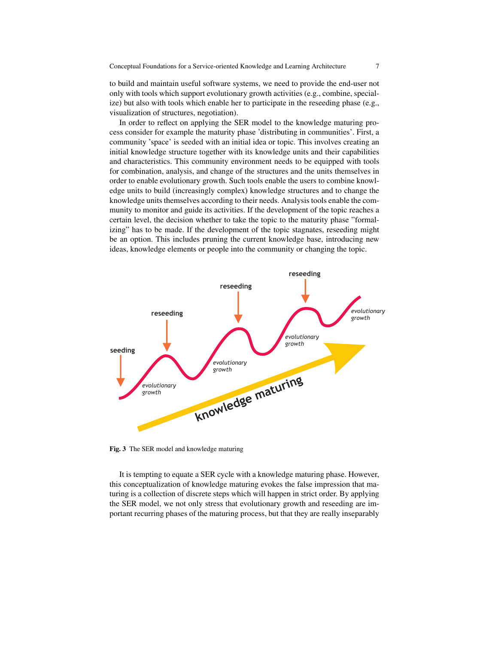to build and maintain useful software systems, we need to provide the end-user not only with tools which support evolutionary growth activities (e.g., combine, specialize) but also with tools which enable her to participate in the reseeding phase (e.g., visualization of structures, negotiation).

In order to reflect on applying the SER model to the knowledge maturing process consider for example the maturity phase 'distributing in communities'. First, a community 'space' is seeded with an initial idea or topic. This involves creating an initial knowledge structure together with its knowledge units and their capabilities and characteristics. This community environment needs to be equipped with tools for combination, analysis, and change of the structures and the units themselves in order to enable evolutionary growth. Such tools enable the users to combine knowledge units to build (increasingly complex) knowledge structures and to change the knowledge units themselves according to their needs. Analysis tools enable the community to monitor and guide its activities. If the development of the topic reaches a certain level, the decision whether to take the topic to the maturity phase "formalizing" has to be made. If the development of the topic stagnates, reseeding might be an option. This includes pruning the current knowledge base, introducing new ideas, knowledge elements or people into the community or changing the topic.



Fig. 3 The SER model and knowledge maturing

It is tempting to equate a SER cycle with a knowledge maturing phase. However, this conceptualization of knowledge maturing evokes the false impression that maturing is a collection of discrete steps which will happen in strict order. By applying the SER model, we not only stress that evolutionary growth and reseeding are important recurring phases of the maturing process, but that they are really inseparably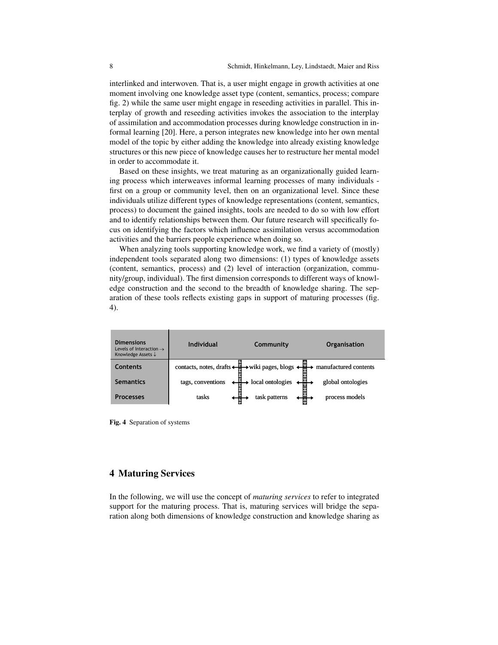interlinked and interwoven. That is, a user might engage in growth activities at one moment involving one knowledge asset type (content, semantics, process; compare fig. 2) while the same user might engage in reseeding activities in parallel. This interplay of growth and reseeding activities invokes the association to the interplay of assimilation and accommodation processes during knowledge construction in informal learning [20]. Here, a person integrates new knowledge into her own mental model of the topic by either adding the knowledge into already existing knowledge structures or this new piece of knowledge causes her to restructure her mental model in order to accommodate it.

Based on these insights, we treat maturing as an organizationally guided learning process which interweaves informal learning processes of many individuals first on a group or community level, then on an organizational level. Since these individuals utilize different types of knowledge representations (content, semantics, process) to document the gained insights, tools are needed to do so with low effort and to identify relationships between them. Our future research will specifically focus on identifying the factors which influence assimilation versus accommodation activities and the barriers people experience when doing so.

When analyzing tools supporting knowledge work, we find a variety of (mostly) when analyzing tools supporting knowledge work, we find a variety of (mostry) independent tools separated along two dimensions: (1) types of knowledge assets (content, semantics, process) and (2) level of interaction (organization, community/group, individual). The first dimension corresponds to different ways of knowledge construction and the second to the breadth of knowledge sharing. The separation of these tools reflects existing gaps in support of maturing processes (fig. 4).



the different knowledge assets and provide services that support the knowledge flow

Fig. 4 Separation of systems

#### 4 Maturing Services  $\overline{a}$  maturing for reco

In the following, we will use the concept of *maturing services* to refer to integrated support for the maturing process. That is, maturing services will bridge the separation along both dimensions of knowledge construction and knowledge sharing as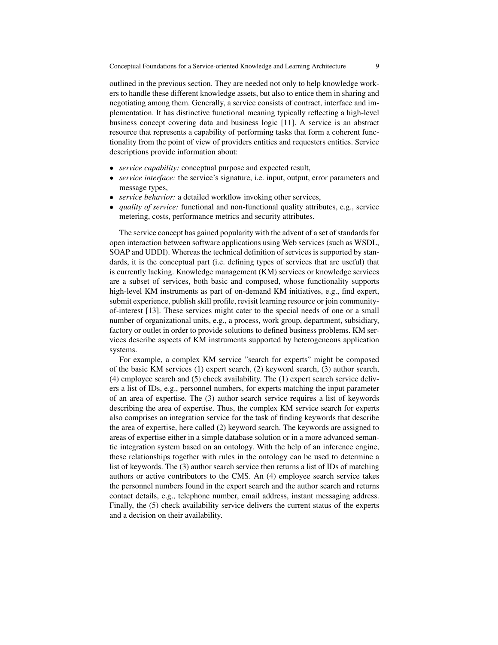outlined in the previous section. They are needed not only to help knowledge workers to handle these different knowledge assets, but also to entice them in sharing and negotiating among them. Generally, a service consists of contract, interface and implementation. It has distinctive functional meaning typically reflecting a high-level business concept covering data and business logic [11]. A service is an abstract resource that represents a capability of performing tasks that form a coherent functionality from the point of view of providers entities and requesters entities. Service descriptions provide information about:

- *service capability:* conceptual purpose and expected result,
- *service interface:* the service's signature, i.e. input, output, error parameters and message types,
- service behavior: a detailed workflow invoking other services,
- *quality of service:* functional and non-functional quality attributes, e.g., service metering, costs, performance metrics and security attributes.

The service concept has gained popularity with the advent of a set of standards for open interaction between software applications using Web services (such as WSDL, SOAP and UDDI). Whereas the technical definition of services is supported by standards, it is the conceptual part (i.e. defining types of services that are useful) that is currently lacking. Knowledge management (KM) services or knowledge services are a subset of services, both basic and composed, whose functionality supports high-level KM instruments as part of on-demand KM initiatives, e.g., find expert, submit experience, publish skill profile, revisit learning resource or join communityof-interest [13]. These services might cater to the special needs of one or a small number of organizational units, e.g., a process, work group, department, subsidiary, factory or outlet in order to provide solutions to defined business problems. KM services describe aspects of KM instruments supported by heterogeneous application systems.

For example, a complex KM service "search for experts" might be composed of the basic KM services (1) expert search, (2) keyword search, (3) author search, (4) employee search and (5) check availability. The (1) expert search service delivers a list of IDs, e.g., personnel numbers, for experts matching the input parameter of an area of expertise. The (3) author search service requires a list of keywords describing the area of expertise. Thus, the complex KM service search for experts also comprises an integration service for the task of finding keywords that describe the area of expertise, here called (2) keyword search. The keywords are assigned to areas of expertise either in a simple database solution or in a more advanced semantic integration system based on an ontology. With the help of an inference engine, these relationships together with rules in the ontology can be used to determine a list of keywords. The (3) author search service then returns a list of IDs of matching authors or active contributors to the CMS. An (4) employee search service takes the personnel numbers found in the expert search and the author search and returns contact details, e.g., telephone number, email address, instant messaging address. Finally, the (5) check availability service delivers the current status of the experts and a decision on their availability.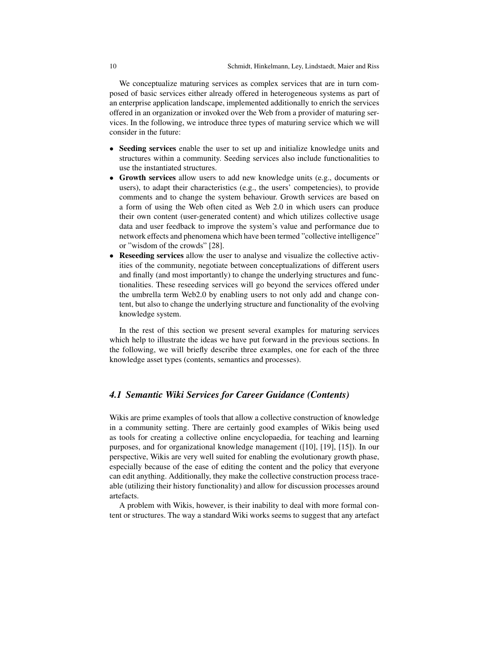We conceptualize maturing services as complex services that are in turn composed of basic services either already offered in heterogeneous systems as part of an enterprise application landscape, implemented additionally to enrich the services offered in an organization or invoked over the Web from a provider of maturing services. In the following, we introduce three types of maturing service which we will consider in the future:

- Seeding services enable the user to set up and initialize knowledge units and structures within a community. Seeding services also include functionalities to use the instantiated structures.
- Growth services allow users to add new knowledge units (e.g., documents or users), to adapt their characteristics (e.g., the users' competencies), to provide comments and to change the system behaviour. Growth services are based on a form of using the Web often cited as Web 2.0 in which users can produce their own content (user-generated content) and which utilizes collective usage data and user feedback to improve the system's value and performance due to network effects and phenomena which have been termed "collective intelligence" or "wisdom of the crowds" [28].
- Reseeding services allow the user to analyse and visualize the collective activities of the community, negotiate between conceptualizations of different users and finally (and most importantly) to change the underlying structures and functionalities. These reseeding services will go beyond the services offered under the umbrella term Web2.0 by enabling users to not only add and change content, but also to change the underlying structure and functionality of the evolving knowledge system.

In the rest of this section we present several examples for maturing services which help to illustrate the ideas we have put forward in the previous sections. In the following, we will briefly describe three examples, one for each of the three knowledge asset types (contents, semantics and processes).

### *4.1 Semantic Wiki Services for Career Guidance (Contents)*

Wikis are prime examples of tools that allow a collective construction of knowledge in a community setting. There are certainly good examples of Wikis being used as tools for creating a collective online encyclopaedia, for teaching and learning purposes, and for organizational knowledge management ([10], [19], [15]). In our perspective, Wikis are very well suited for enabling the evolutionary growth phase, especially because of the ease of editing the content and the policy that everyone can edit anything. Additionally, they make the collective construction process traceable (utilizing their history functionality) and allow for discussion processes around artefacts.

A problem with Wikis, however, is their inability to deal with more formal content or structures. The way a standard Wiki works seems to suggest that any artefact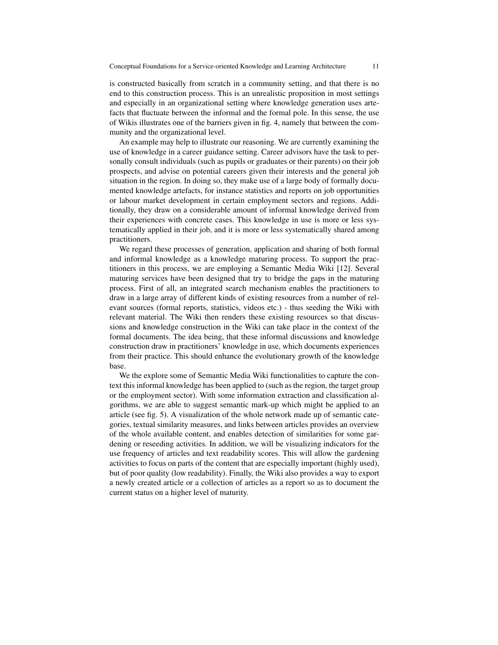is constructed basically from scratch in a community setting, and that there is no end to this construction process. This is an unrealistic proposition in most settings and especially in an organizational setting where knowledge generation uses artefacts that fluctuate between the informal and the formal pole. In this sense, the use of Wikis illustrates one of the barriers given in fig. 4, namely that between the community and the organizational level.

An example may help to illustrate our reasoning. We are currently examining the use of knowledge in a career guidance setting. Career advisors have the task to personally consult individuals (such as pupils or graduates or their parents) on their job prospects, and advise on potential careers given their interests and the general job situation in the region. In doing so, they make use of a large body of formally documented knowledge artefacts, for instance statistics and reports on job opportunities or labour market development in certain employment sectors and regions. Additionally, they draw on a considerable amount of informal knowledge derived from their experiences with concrete cases. This knowledge in use is more or less systematically applied in their job, and it is more or less systematically shared among practitioners.

We regard these processes of generation, application and sharing of both formal and informal knowledge as a knowledge maturing process. To support the practitioners in this process, we are employing a Semantic Media Wiki [12]. Several maturing services have been designed that try to bridge the gaps in the maturing process. First of all, an integrated search mechanism enables the practitioners to draw in a large array of different kinds of existing resources from a number of relevant sources (formal reports, statistics, videos etc.) - thus seeding the Wiki with relevant material. The Wiki then renders these existing resources so that discussions and knowledge construction in the Wiki can take place in the context of the formal documents. The idea being, that these informal discussions and knowledge construction draw in practitioners' knowledge in use, which documents experiences from their practice. This should enhance the evolutionary growth of the knowledge base.

We the explore some of Semantic Media Wiki functionalities to capture the context this informal knowledge has been applied to (such as the region, the target group or the employment sector). With some information extraction and classification algorithms, we are able to suggest semantic mark-up which might be applied to an article (see fig. 5). A visualization of the whole network made up of semantic categories, textual similarity measures, and links between articles provides an overview of the whole available content, and enables detection of similarities for some gardening or reseeding activities. In addition, we will be visualizing indicators for the use frequency of articles and text readability scores. This will allow the gardening activities to focus on parts of the content that are especially important (highly used), but of poor quality (low readability). Finally, the Wiki also provides a way to export a newly created article or a collection of articles as a report so as to document the current status on a higher level of maturity.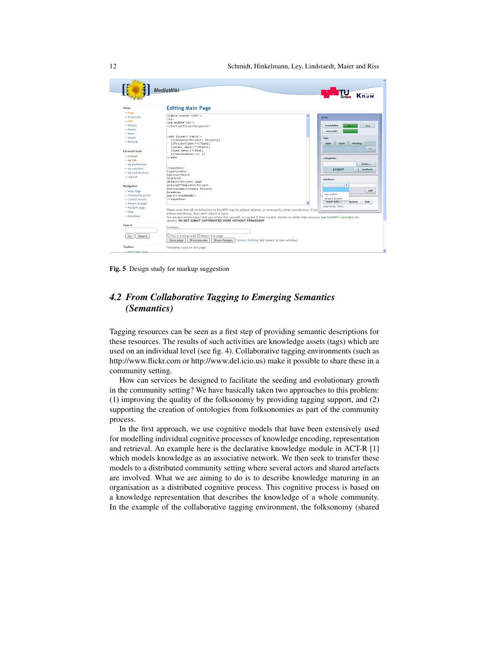

Fig. 5 Design study for markup suggestion

## *4.2 From Collaborative Tagging to Emerging Semantics (Semantics)*

Tagging resources can be seen as a first step of providing semantic descriptions for these resources. The results of such activities are knowledge assets (tags) which are used on an individual level (see fig. 4). Collaborative tagging environments (such as http://www.flickr.com or http://www.del.icio.us) make it possible to share these in a community setting.

How can services be designed to facilitate the seeding and evolutionary growth in the community setting? We have basically taken two approaches to this problem: (1) improving the quality of the folksonomy by providing tagging support, and (2) supporting the creation of ontologies from folksonomies as part of the community process.

In the first approach, we use cognitive models that have been extensively used for modelling individual cognitive processes of knowledge encoding, representation and retrieval. An example here is the declarative knowledge module in ACT-R [1] which models knowledge as an associative network. We then seek to transfer these models to a distributed community setting where several actors and shared artefacts are involved. What we are aiming to do is to describe knowledge maturing in an organisation as a distributed cognitive process. This cognitive process is based on a knowledge representation that describes the knowledge of a whole community. In the example of the collaborative tagging environment, the folksonomy (shared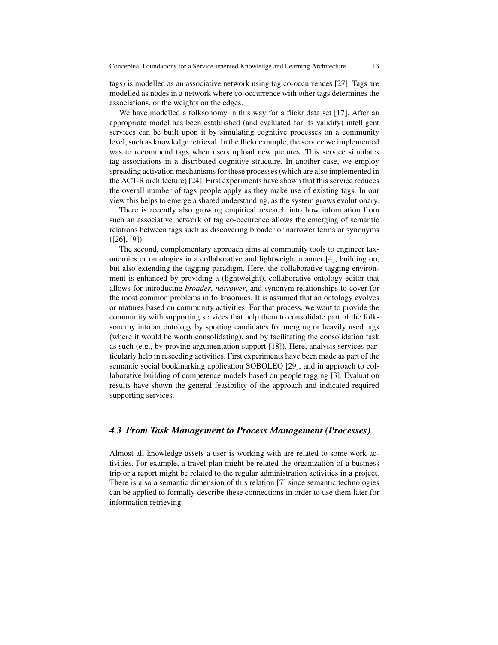tags) is modelled as an associative network using tag co-occurrences [27]. Tags are modelled as nodes in a network where co-occurrence with other tags determines the associations, or the weights on the edges.

We have modelled a folksonomy in this way for a flickr data set [17]. After an appropriate model has been established (and evaluated for its validity) intelligent services can be built upon it by simulating cognitive processes on a community level, such as knowledge retrieval. In the flickr example, the service we implemented was to recommend tags when users upload new pictures. This service simulates tag associations in a distributed cognitive structure. In another case, we employ spreading activation mechanisms for these processes (which are also implemented in the ACT-R architecture) [24]. First experiments have shown that this service reduces the overall number of tags people apply as they make use of existing tags. In our view this helps to emerge a shared understanding, as the system grows evolutionary.

There is recently also growing empirical research into how information from such an associative network of tag co-occurence allows the emerging of semantic relations between tags such as discovering broader or narrower terms or synonyms ([26], [9]).

The second, complementary approach aims at community tools to engineer taxonomies or ontologies in a collaborative and lightweight manner [4], building on, but also extending the tagging paradigm. Here, the collaborative tagging environment is enhanced by providing a (lightweight), collaborative ontology editor that allows for introducing *broader*, *narrower*, and synonym relationships to cover for the most common problems in folkosomies. It is assumed that an ontology evolves or matures based on community activities. For that process, we want to provide the community with supporting services that help them to consolidate part of the folksonomy into an ontology by spotting candidates for merging or heavily used tags (where it would be worth consolidating), and by facilitating the consolidation task as such (e.g., by proving argumentation support [18]). Here, analysis services particularly help in reseeding activities. First experiments have been made as part of the semantic social bookmarking application SOBOLEO [29], and in approach to collaborative building of competence models based on people tagging [3]. Evaluation results have shown the general feasibility of the approach and indicated required supporting services.

#### *4.3 From Task Management to Process Management (Processes)*

Almost all knowledge assets a user is working with are related to some work activities. For example, a travel plan might be related the organization of a business trip or a report might be related to the regular administration activities in a project. There is also a semantic dimension of this relation [7] since semantic technologies can be applied to formally describe these connections in order to use them later for information retrieving.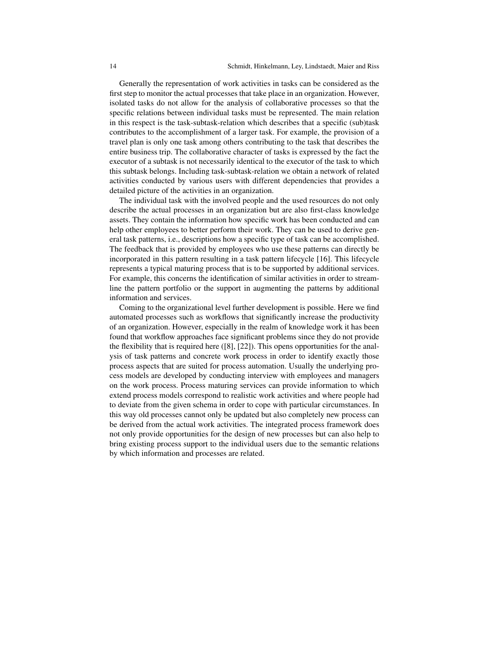Generally the representation of work activities in tasks can be considered as the first step to monitor the actual processes that take place in an organization. However, isolated tasks do not allow for the analysis of collaborative processes so that the specific relations between individual tasks must be represented. The main relation in this respect is the task-subtask-relation which describes that a specific (sub)task contributes to the accomplishment of a larger task. For example, the provision of a travel plan is only one task among others contributing to the task that describes the entire business trip. The collaborative character of tasks is expressed by the fact the executor of a subtask is not necessarily identical to the executor of the task to which this subtask belongs. Including task-subtask-relation we obtain a network of related activities conducted by various users with different dependencies that provides a detailed picture of the activities in an organization.

The individual task with the involved people and the used resources do not only describe the actual processes in an organization but are also first-class knowledge assets. They contain the information how specific work has been conducted and can help other employees to better perform their work. They can be used to derive general task patterns, i.e., descriptions how a specific type of task can be accomplished. The feedback that is provided by employees who use these patterns can directly be incorporated in this pattern resulting in a task pattern lifecycle [16]. This lifecycle represents a typical maturing process that is to be supported by additional services. For example, this concerns the identification of similar activities in order to streamline the pattern portfolio or the support in augmenting the patterns by additional information and services.

Coming to the organizational level further development is possible. Here we find automated processes such as workflows that significantly increase the productivity of an organization. However, especially in the realm of knowledge work it has been found that workflow approaches face significant problems since they do not provide the flexibility that is required here ([8], [22]). This opens opportunities for the analysis of task patterns and concrete work process in order to identify exactly those process aspects that are suited for process automation. Usually the underlying process models are developed by conducting interview with employees and managers on the work process. Process maturing services can provide information to which extend process models correspond to realistic work activities and where people had to deviate from the given schema in order to cope with particular circumstances. In this way old processes cannot only be updated but also completely new process can be derived from the actual work activities. The integrated process framework does not only provide opportunities for the design of new processes but can also help to bring existing process support to the individual users due to the semantic relations by which information and processes are related.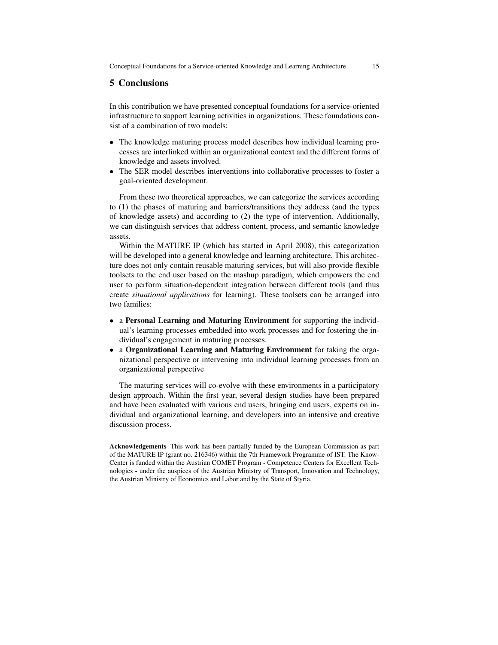#### 5 Conclusions

In this contribution we have presented conceptual foundations for a service-oriented infrastructure to support learning activities in organizations. These foundations consist of a combination of two models:

- The knowledge maturing process model describes how individual learning processes are interlinked within an organizational context and the different forms of knowledge and assets involved.
- The SER model describes interventions into collaborative processes to foster a goal-oriented development.

From these two theoretical approaches, we can categorize the services according to (1) the phases of maturing and barriers/transitions they address (and the types of knowledge assets) and according to (2) the type of intervention. Additionally, we can distinguish services that address content, process, and semantic knowledge assets.

Within the MATURE IP (which has started in April 2008), this categorization will be developed into a general knowledge and learning architecture. This architecture does not only contain reusable maturing services, but will also provide flexible toolsets to the end user based on the mashup paradigm, which empowers the end user to perform situation-dependent integration between different tools (and thus create *situational applications* for learning). These toolsets can be arranged into two families:

- a Personal Learning and Maturing Environment for supporting the individual's learning processes embedded into work processes and for fostering the individual's engagement in maturing processes.
- a Organizational Learning and Maturing Environment for taking the organizational perspective or intervening into individual learning processes from an organizational perspective

The maturing services will co-evolve with these environments in a participatory design approach. Within the first year, several design studies have been prepared and have been evaluated with various end users, bringing end users, experts on individual and organizational learning, and developers into an intensive and creative discussion process.

Acknowledgements This work has been partially funded by the European Commission as part of the MATURE IP (grant no. 216346) within the 7th Framework Programme of IST. The Know-Center is funded within the Austrian COMET Program - Competence Centers for Excellent Technologies - under the auspices of the Austrian Ministry of Transport, Innovation and Technology, the Austrian Ministry of Economics and Labor and by the State of Styria.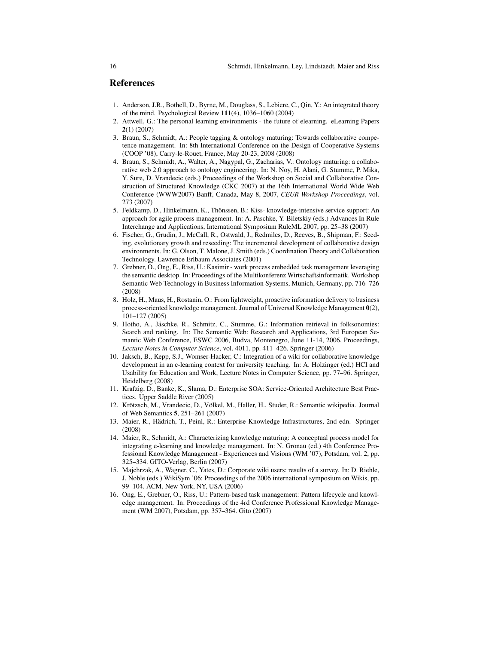#### References

- 1. Anderson, J.R., Bothell, D., Byrne, M., Douglass, S., Lebiere, C., Qin, Y.: An integrated theory of the mind. Psychological Review 111(4), 1036–1060 (2004)
- 2. Attwell, G.: The personal learning environments the future of elearning. eLearning Papers 2(1) (2007)
- 3. Braun, S., Schmidt, A.: People tagging & ontology maturing: Towards collaborative competence management. In: 8th International Conference on the Design of Cooperative Systems (COOP '08), Carry-le-Rouet, France, May 20-23, 2008 (2008)
- 4. Braun, S., Schmidt, A., Walter, A., Nagypal, G., Zacharias, V.: Ontology maturing: a collaborative web 2.0 approach to ontology engineering. In: N. Noy, H. Alani, G. Stumme, P. Mika, Y. Sure, D. Vrandecic (eds.) Proceedings of the Workshop on Social and Collaborative Construction of Structured Knowledge (CKC 2007) at the 16th International World Wide Web Conference (WWW2007) Banff, Canada, May 8, 2007, *CEUR Workshop Proceedings*, vol. 273 (2007)
- 5. Feldkamp, D., Hinkelmann, K., Thönssen, B.: Kiss- knowledge-intensive service support: An approach for agile process management. In: A. Paschke, Y. Biletskiy (eds.) Advances In Rule Interchange and Applications, International Symposium RuleML 2007, pp. 25–38 (2007)
- 6. Fischer, G., Grudin, J., McCall, R., Ostwald, J., Redmiles, D., Reeves, B., Shipman, F.: Seeding, evolutionary growth and reseeding: The incremental development of collaborative design environments. In: G. Olson, T. Malone, J. Smith (eds.) Coordination Theory and Collaboration Technology. Lawrence Erlbaum Associates (2001)
- 7. Grebner, O., Ong, E., Riss, U.: Kasimir work process embedded task management leveraging the semantic desktop. In: Proceedings of the Multikonferenz Wirtschaftsinformatik. Workshop Semantic Web Technology in Business Information Systems, Munich, Germany, pp. 716–726 (2008)
- 8. Holz, H., Maus, H., Rostanin, O.: From lightweight, proactive information delivery to business process-oriented knowledge management. Journal of Universal Knowledge Management 0(2), 101–127 (2005)
- 9. Hotho, A., Jaschke, R., Schmitz, C., Stumme, G.: Information retrieval in folksonomies: ¨ Search and ranking. In: The Semantic Web: Research and Applications, 3rd European Semantic Web Conference, ESWC 2006, Budva, Montenegro, June 11-14, 2006, Proceedings, *Lecture Notes in Computer Science*, vol. 4011, pp. 411–426. Springer (2006)
- 10. Jaksch, B., Kepp, S.J., Womser-Hacker, C.: Integration of a wiki for collaborative knowledge development in an e-learning context for university teaching. In: A. Holzinger (ed.) HCI and Usability for Education and Work, Lecture Notes in Computer Science, pp. 77–96. Springer, Heidelberg (2008)
- 11. Krafzig, D., Banke, K., Slama, D.: Enterprise SOA: Service-Oriented Architecture Best Practices. Upper Saddle River (2005)
- 12. Krötzsch, M., Vrandecic, D., Völkel, M., Haller, H., Studer, R.: Semantic wikipedia. Journal of Web Semantics 5, 251–261 (2007)
- 13. Maier, R., Hädrich, T., Peinl, R.: Enterprise Knowledge Infrastructures, 2nd edn. Springer (2008)
- 14. Maier, R., Schmidt, A.: Characterizing knowledge maturing: A conceptual process model for integrating e-learning and knowledge management. In: N. Gronau (ed.) 4th Conference Professional Knowledge Management - Experiences and Visions (WM '07), Potsdam, vol. 2, pp. 325–334. GITO-Verlag, Berlin (2007)
- 15. Majchrzak, A., Wagner, C., Yates, D.: Corporate wiki users: results of a survey. In: D. Riehle, J. Noble (eds.) WikiSym '06: Proceedings of the 2006 international symposium on Wikis, pp. 99–104. ACM, New York, NY, USA (2006)
- 16. Ong, E., Grebner, O., Riss, U.: Pattern-based task management: Pattern lifecycle and knowledge management. In: Proceedings of the 4rd Conference Professional Knowledge Management (WM 2007), Potsdam, pp. 357–364. Gito (2007)